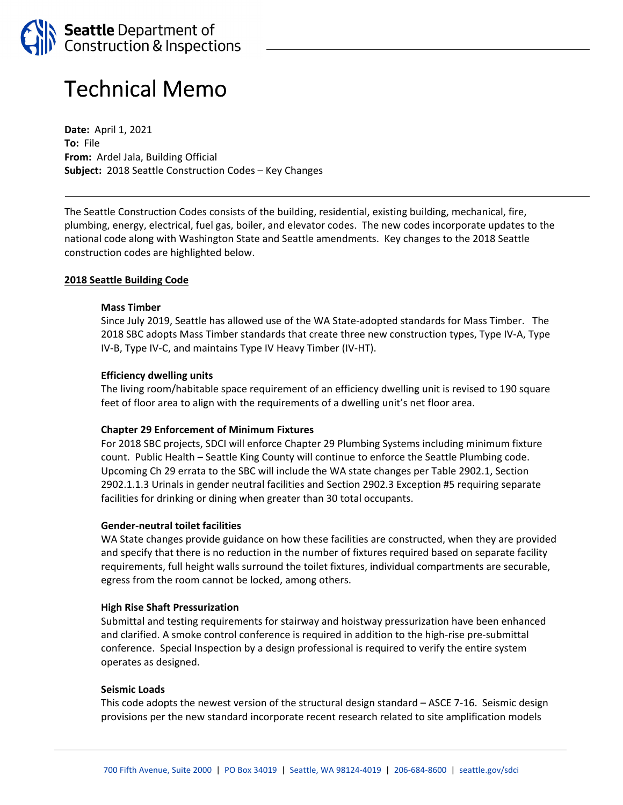

# Technical Memo

**Date:** April 1, 2021 **To:** File **From:** Ardel Jala, Building Official **Subject:** 2018 Seattle Construction Codes – Key Changes

The Seattle Construction Codes consists of the building, residential, existing building, mechanical, fire, plumbing, energy, electrical, fuel gas, boiler, and elevator codes. The new codes incorporate updates to the national code along with Washington State and Seattle amendments. Key changes to the 2018 Seattle construction codes are highlighted below.

## **2018 Seattle Building Code**

#### **Mass Timber**

Since July 2019, Seattle has allowed use of the WA State‐adopted standards for Mass Timber. The 2018 SBC adopts Mass Timber standards that create three new construction types, Type IV‐A, Type IV‐B, Type IV‐C, and maintains Type IV Heavy Timber (IV‐HT).

#### **Efficiency dwelling units**

The living room/habitable space requirement of an efficiency dwelling unit is revised to 190 square feet of floor area to align with the requirements of a dwelling unit's net floor area.

#### **Chapter 29 Enforcement of Minimum Fixtures**

For 2018 SBC projects, SDCI will enforce Chapter 29 Plumbing Systems including minimum fixture count. Public Health – Seattle King County will continue to enforce the Seattle Plumbing code. Upcoming Ch 29 errata to the SBC will include the WA state changes per Table 2902.1, Section 2902.1.1.3 Urinals in gender neutral facilities and Section 2902.3 Exception #5 requiring separate facilities for drinking or dining when greater than 30 total occupants.

## **Gender‐neutral toilet facilities**

WA State changes provide guidance on how these facilities are constructed, when they are provided and specify that there is no reduction in the number of fixtures required based on separate facility requirements, full height walls surround the toilet fixtures, individual compartments are securable, egress from the room cannot be locked, among others.

#### **High Rise Shaft Pressurization**

Submittal and testing requirements for stairway and hoistway pressurization have been enhanced and clarified. A smoke control conference is required in addition to the high‐rise pre‐submittal conference. Special Inspection by a design professional is required to verify the entire system operates as designed.

#### **Seismic Loads**

This code adopts the newest version of the structural design standard – ASCE 7‐16. Seismic design provisions per the new standard incorporate recent research related to site amplification models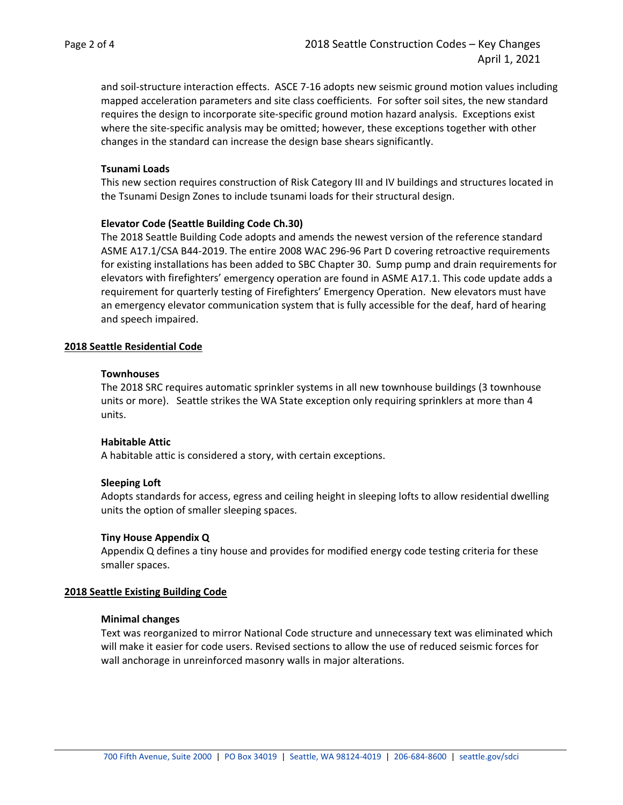and soil‐structure interaction effects. ASCE 7‐16 adopts new seismic ground motion values including mapped acceleration parameters and site class coefficients. For softer soil sites, the new standard requires the design to incorporate site‐specific ground motion hazard analysis. Exceptions exist where the site-specific analysis may be omitted; however, these exceptions together with other changes in the standard can increase the design base shears significantly.

## **Tsunami Loads**

This new section requires construction of Risk Category III and IV buildings and structures located in the Tsunami Design Zones to include tsunami loads for their structural design.

## **Elevator Code (Seattle Building Code Ch.30)**

The 2018 Seattle Building Code adopts and amends the newest version of the reference standard ASME A17.1/CSA B44‐2019. The entire 2008 WAC 296‐96 Part D covering retroactive requirements for existing installations has been added to SBC Chapter 30. Sump pump and drain requirements for elevators with firefighters' emergency operation are found in ASME A17.1. This code update adds a requirement for quarterly testing of Firefighters' Emergency Operation. New elevators must have an emergency elevator communication system that is fully accessible for the deaf, hard of hearing and speech impaired.

#### **2018 Seattle Residential Code**

### **Townhouses**

The 2018 SRC requires automatic sprinkler systems in all new townhouse buildings (3 townhouse units or more). Seattle strikes the WA State exception only requiring sprinklers at more than 4 units.

# **Habitable Attic**

A habitable attic is considered a story, with certain exceptions.

## **Sleeping Loft**

Adopts standards for access, egress and ceiling height in sleeping lofts to allow residential dwelling units the option of smaller sleeping spaces.

#### **Tiny House Appendix Q**

Appendix Q defines a tiny house and provides for modified energy code testing criteria for these smaller spaces.

## **2018 Seattle Existing Building Code**

#### **Minimal changes**

Text was reorganized to mirror National Code structure and unnecessary text was eliminated which will make it easier for code users. Revised sections to allow the use of reduced seismic forces for wall anchorage in unreinforced masonry walls in major alterations.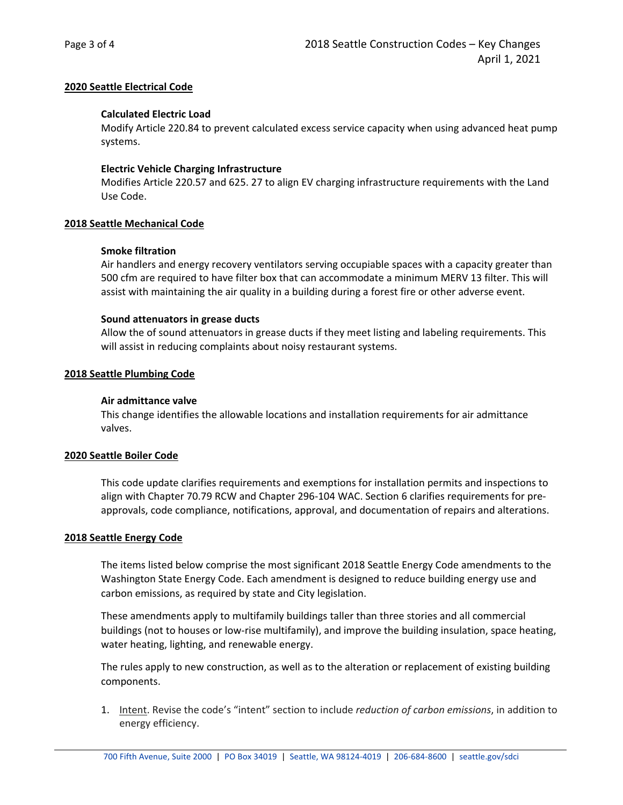# **2020 Seattle Electrical Code**

# **Calculated Electric Load**

Modify Article 220.84 to prevent calculated excess service capacity when using advanced heat pump systems.

## **Electric Vehicle Charging Infrastructure**

Modifies Article 220.57 and 625. 27 to align EV charging infrastructure requirements with the Land Use Code.

# **2018 Seattle Mechanical Code**

# **Smoke filtration**

Air handlers and energy recovery ventilators serving occupiable spaces with a capacity greater than 500 cfm are required to have filter box that can accommodate a minimum MERV 13 filter. This will assist with maintaining the air quality in a building during a forest fire or other adverse event.

# **Sound attenuators in grease ducts**

Allow the of sound attenuators in grease ducts if they meet listing and labeling requirements. This will assist in reducing complaints about noisy restaurant systems.

# **2018 Seattle Plumbing Code**

## **Air admittance valve**

This change identifies the allowable locations and installation requirements for air admittance valves.

## **2020 Seattle Boiler Code**

This code update clarifies requirements and exemptions for installation permits and inspections to align with Chapter 70.79 RCW and Chapter 296‐104 WAC. Section 6 clarifies requirements for pre‐ approvals, code compliance, notifications, approval, and documentation of repairs and alterations.

## **2018 Seattle Energy Code**

The items listed below comprise the most significant 2018 Seattle Energy Code amendments to the Washington State Energy Code. Each amendment is designed to reduce building energy use and carbon emissions, as required by state and City legislation.

These amendments apply to multifamily buildings taller than three stories and all commercial buildings (not to houses or low‐rise multifamily), and improve the building insulation, space heating, water heating, lighting, and renewable energy.

The rules apply to new construction, as well as to the alteration or replacement of existing building components.

1. Intent. Revise the code's "intent" section to include *reduction of carbon emissions*, in addition to energy efficiency.